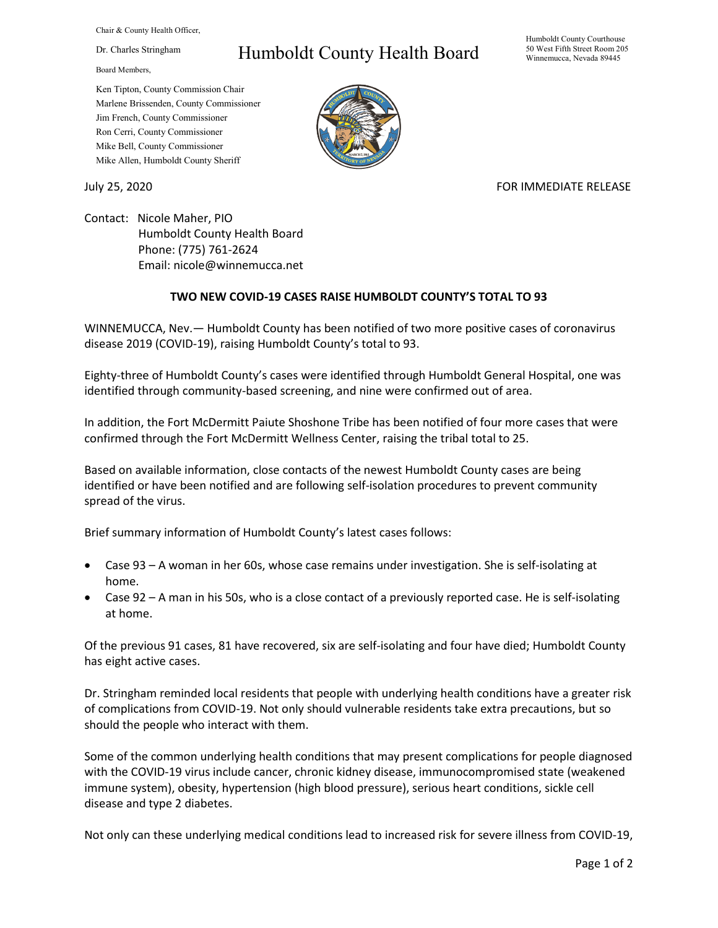Chair & County Health Officer,

Dr. Charles Stringham

Board Members,

## Humboldt County Health Board

Humboldt County Courthouse 50 West Fifth Street Room 205 Winnemucca, Nevada 89445

Ken Tipton, County Commission Chair Marlene Brissenden, County Commissioner Jim French, County Commissioner Ron Cerri, County Commissioner Mike Bell, County Commissioner Mike Allen, Humboldt County Sheriff

## July 25, 2020 FOR IMMEDIATE RELEASE

Contact: Nicole Maher, PIO Humboldt County Health Board Phone: (775) 761-2624 Email: nicole@winnemucca.net

## **TWO NEW COVID-19 CASES RAISE HUMBOLDT COUNTY'S TOTAL TO 93**

WINNEMUCCA, Nev.— Humboldt County has been notified of two more positive cases of coronavirus disease 2019 (COVID-19), raising Humboldt County's total to 93.

Eighty-three of Humboldt County's cases were identified through Humboldt General Hospital, one was identified through community-based screening, and nine were confirmed out of area.

In addition, the Fort McDermitt Paiute Shoshone Tribe has been notified of four more cases that were confirmed through the Fort McDermitt Wellness Center, raising the tribal total to 25.

Based on available information, close contacts of the newest Humboldt County cases are being identified or have been notified and are following self-isolation procedures to prevent community spread of the virus.

Brief summary information of Humboldt County's latest cases follows:

- Case 93 A woman in her 60s, whose case remains under investigation. She is self-isolating at home.
- Case 92 A man in his 50s, who is a close contact of a previously reported case. He is self-isolating at home.

Of the previous 91 cases, 81 have recovered, six are self-isolating and four have died; Humboldt County has eight active cases.

Dr. Stringham reminded local residents that people with underlying health conditions have a greater risk of complications from COVID-19. Not only should vulnerable residents take extra precautions, but so should the people who interact with them.

Some of the common underlying health conditions that may present complications for people diagnosed with the COVID-19 virus include cancer, chronic kidney disease, immunocompromised state (weakened immune system), obesity, hypertension (high blood pressure), serious heart conditions, sickle cell disease and type 2 diabetes.

Not only can these underlying medical conditions lead to increased risk for severe illness from COVID-19,